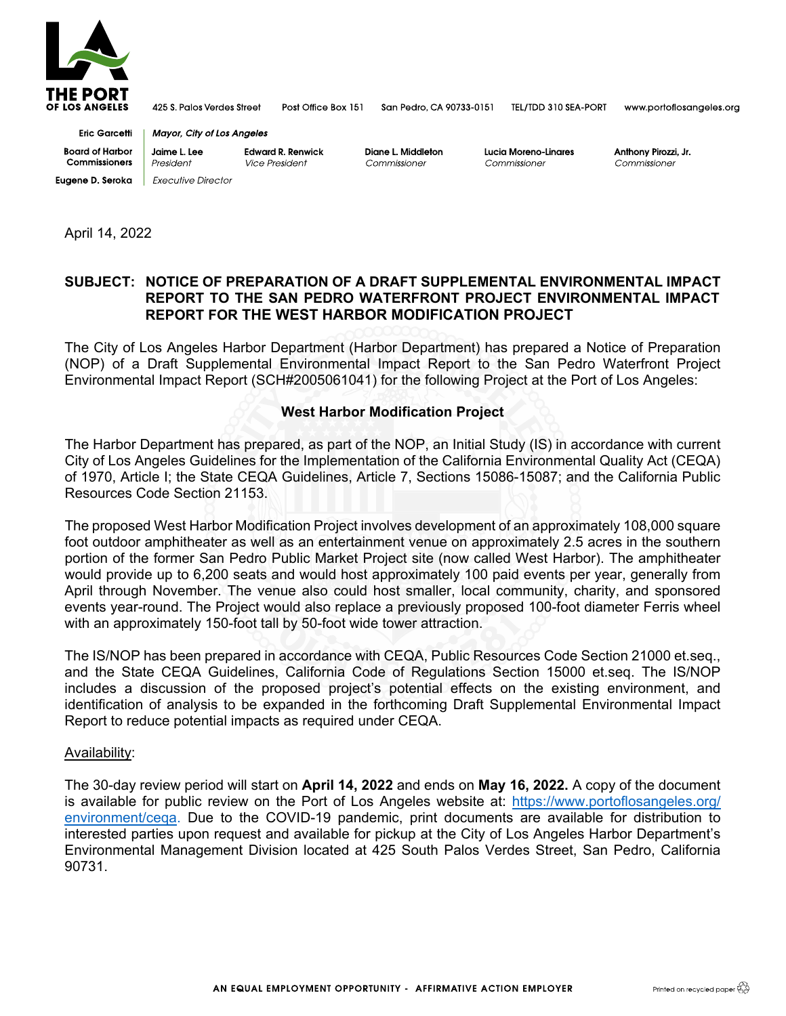

425 S. Palos Verdes Street

Post Office Box 151

San Pedro, CA 90733-0151

TEL/TDD 310 SEA-PORT

www.portoflosangeles.org

**Eric Garcetti Board of Harbor** Commissioners **Eugene D. Seroka** Executive Director

**Mayor, City of Los Angeles** Jaime L. Lee **Edward R. Renwick** 

President Vice President Diane L. Middleton Commissioner

Lucia Moreno-Linares Commissioner

Anthony Pirozzi, Jr Commissioner

April 14, 2022

## **SUBJECT: NOTICE OF PREPARATION OF A DRAFT SUPPLEMENTAL ENVIRONMENTAL IMPACT REPORT TO THE SAN PEDRO WATERFRONT PROJECT ENVIRONMENTAL IMPACT REPORT FOR THE WEST HARBOR MODIFICATION PROJECT**

The City of Los Angeles Harbor Department (Harbor Department) has prepared a Notice of Preparation (NOP) of a Draft Supplemental Environmental Impact Report to the San Pedro Waterfront Project Environmental Impact Report (SCH#2005061041) for the following Project at the Port of Los Angeles:

## **West Harbor Modification Project**

The Harbor Department has prepared, as part of the NOP, an Initial Study (IS) in accordance with current City of Los Angeles Guidelines for the Implementation of the California Environmental Quality Act (CEQA) of 1970, Article I; the State CEQA Guidelines, Article 7, Sections 15086-15087; and the California Public Resources Code Section 21153.

The proposed West Harbor Modification Project involves development of an approximately 108,000 square foot outdoor amphitheater as well as an entertainment venue on approximately 2.5 acres in the southern portion of the former San Pedro Public Market Project site (now called West Harbor). The amphitheater would provide up to 6,200 seats and would host approximately 100 paid events per year, generally from April through November. The venue also could host smaller, local community, charity, and sponsored events year-round. The Project would also replace a previously proposed 100-foot diameter Ferris wheel with an approximately 150-foot tall by 50-foot wide tower attraction.

The IS/NOP has been prepared in accordance with CEQA, Public Resources Code Section 21000 et.seq., and the State CEQA Guidelines, California Code of Regulations Section 15000 et.seq. The IS/NOP includes a discussion of the proposed project's potential effects on the existing environment, and identification of analysis to be expanded in the forthcoming Draft Supplemental Environmental Impact Report to reduce potential impacts as required under CEQA.

## Availability:

The 30-day review period will start on **April 14, 2022** and ends on **May 16, 2022.** A copy of the document is available for public review on the Port of Los Angeles website at: [https://www.portoflosangeles.org/](https://www.portoflosangeles.org/%E2%80%8Cenvironment/ceqa) environment/cega. Due to the COVID-19 pandemic, print documents are available for distribution to interested parties upon request and available for pickup at the City of Los Angeles Harbor Department's Environmental Management Division located at 425 South Palos Verdes Street, San Pedro, California 90731.